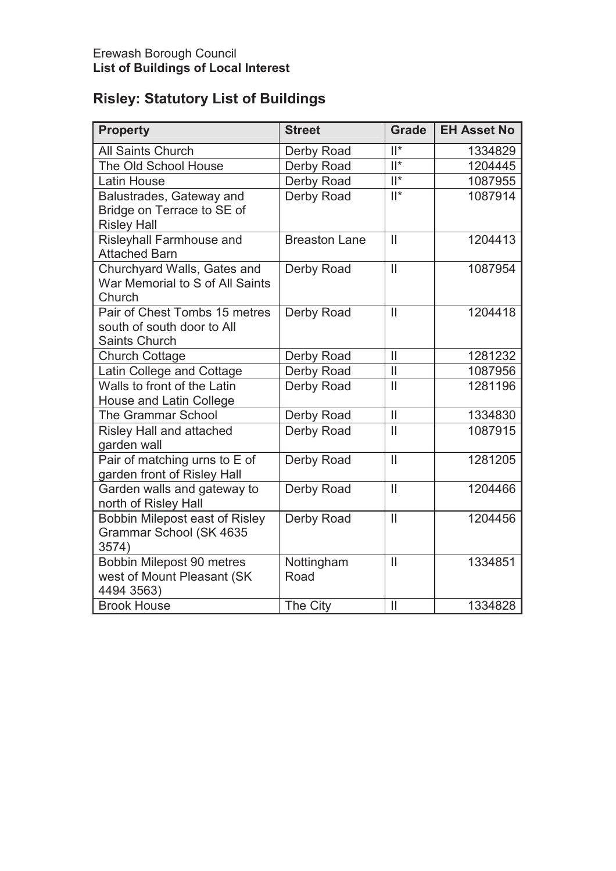# **Risley: Statutory List of Buildings**

| <b>Property</b>                                                              | <b>Street</b>        | <b>Grade</b>  | <b>EH Asset No</b> |
|------------------------------------------------------------------------------|----------------------|---------------|--------------------|
| <b>All Saints Church</b>                                                     | Derby Road           | $  ^*$        | 1334829            |
| The Old School House                                                         | Derby Road           | $  ^*$        | 1204445            |
| Latin House                                                                  | Derby Road           | $  ^*$        | 1087955            |
| Balustrades, Gateway and<br>Bridge on Terrace to SE of<br><b>Risley Hall</b> | Derby Road           | $  ^*$        | 1087914            |
| Risleyhall Farmhouse and<br><b>Attached Barn</b>                             | <b>Breaston Lane</b> | $\mathbf{I}$  | 1204413            |
| Churchyard Walls, Gates and<br>War Memorial to S of All Saints<br>Church     | Derby Road           | $\mathbf{II}$ | 1087954            |
| Pair of Chest Tombs 15 metres<br>south of south door to All<br>Saints Church | Derby Road           | $\mathbf{I}$  | 1204418            |
| <b>Church Cottage</b>                                                        | Derby Road           | $\mathbf{I}$  | 1281232            |
| Latin College and Cottage                                                    | Derby Road           | $\mathbf{II}$ | 1087956            |
| Walls to front of the Latin<br>House and Latin College                       | Derby Road           | $\mathbf{I}$  | 1281196            |
| <b>The Grammar School</b>                                                    | Derby Road           | $\mathbf{I}$  | 1334830            |
| Risley Hall and attached<br>garden wall                                      | Derby Road           | $\mathbf{I}$  | 1087915            |
| Pair of matching urns to E of<br>garden front of Risley Hall                 | Derby Road           | $\mathbf{II}$ | 1281205            |
| Garden walls and gateway to<br>north of Risley Hall                          | Derby Road           | $\mathbf{II}$ | 1204466            |
| Bobbin Milepost east of Risley<br>Grammar School (SK 4635<br>3574)           | Derby Road           | $\mathbf{II}$ | 1204456            |
| Bobbin Milepost 90 metres<br>west of Mount Pleasant (SK<br>4494 3563)        | Nottingham<br>Road   | $\mathbf{I}$  | 1334851            |
| <b>Brook House</b>                                                           | The City             | $\mathbf{I}$  | 1334828            |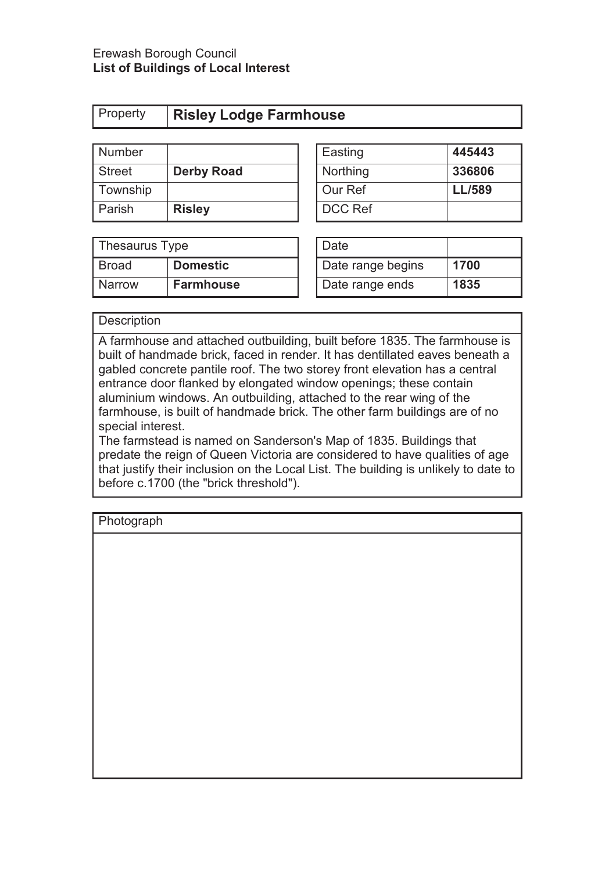#### Erewash Borough Council **List of Buildings of Local Interest**

| Property | <b>Risley Lodge Farmhouse</b> |
|----------|-------------------------------|
|          |                               |

| Number        |                   | Easting        | 445443        |
|---------------|-------------------|----------------|---------------|
| <b>Street</b> | <b>Derby Road</b> | Northing       | 336806        |
| Township      |                   | Our Ref        | <b>LL/589</b> |
| Parish        | <b>Risley</b>     | <b>DCC Ref</b> |               |

| Easting        | 445443        |
|----------------|---------------|
| Northing       | 336806        |
| Our Ref        | <b>LL/589</b> |
| <b>DCC Ref</b> |               |

| Thesaurus Type |                  | Date              |      |
|----------------|------------------|-------------------|------|
| <b>Broad</b>   | <b>Domestic</b>  | Date range begins | 1700 |
| <b>Narrow</b>  | <b>Farmhouse</b> | Date range ends   | 1835 |

| Date              |      |
|-------------------|------|
| Date range begins | 1700 |
| Date range ends   | 1835 |

### **Description**

A farmhouse and attached outbuilding, built before 1835. The farmhouse is built of handmade brick, faced in render. It has dentillated eaves beneath a gabled concrete pantile roof. The two storey front elevation has a central entrance door flanked by elongated window openings; these contain aluminium windows. An outbuilding, attached to the rear wing of the farmhouse, is built of handmade brick. The other farm buildings are of no special interest.

The farmstead is named on Sanderson's Map of 1835. Buildings that predate the reign of Queen Victoria are considered to have qualities of age that justify their inclusion on the Local List. The building is unlikely to date to before c.1700 (the "brick threshold").

| <u>ັ</u><br>- 11 |  |  |
|------------------|--|--|
|                  |  |  |
|                  |  |  |
|                  |  |  |
|                  |  |  |
|                  |  |  |
|                  |  |  |
|                  |  |  |
|                  |  |  |
|                  |  |  |
|                  |  |  |
|                  |  |  |
|                  |  |  |
|                  |  |  |
|                  |  |  |
|                  |  |  |
|                  |  |  |
|                  |  |  |
|                  |  |  |
|                  |  |  |
|                  |  |  |
|                  |  |  |
|                  |  |  |
|                  |  |  |
|                  |  |  |
|                  |  |  |